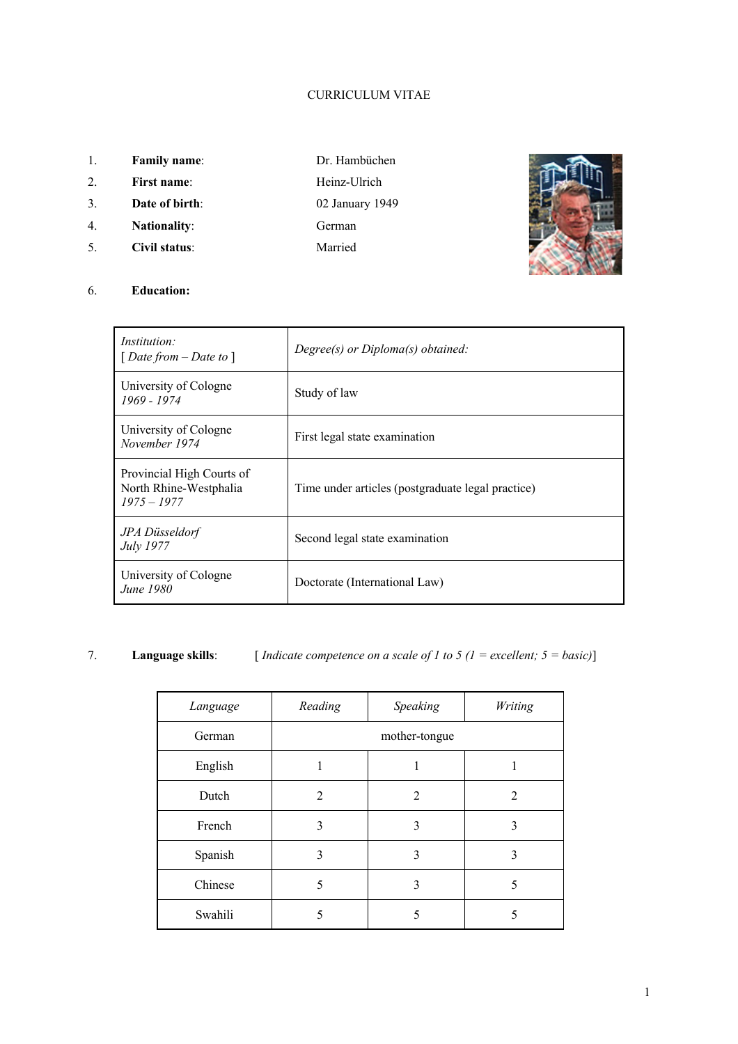## CURRICULUM VITAE

- 1. **Family name**: Dr. Hambüchen
- 2. **First name:** Heinz-Ulrich
- 3. **Date of birth**: 02 January 1949
- 4. **Nationality**: German
- 5. **Civil status**: Married
- 
- -



#### 6. **Education:**

| <i>Institution:</i><br>[Date from $-Date$ to ]                       | $Degree(s)$ or $Diploma(s)$ obtained:             |  |
|----------------------------------------------------------------------|---------------------------------------------------|--|
| University of Cologne<br>1969 - 1974                                 | Study of law                                      |  |
| University of Cologne<br>November 1974                               | First legal state examination                     |  |
| Provincial High Courts of<br>North Rhine-Westphalia<br>$1975 - 1977$ | Time under articles (postgraduate legal practice) |  |
| JPA Düsseldorf<br>July 1977                                          | Second legal state examination                    |  |
| University of Cologne<br>June 1980                                   | Doctorate (International Law)                     |  |

# 7. **Language skills**: [ *Indicate competence on a scale of 1 to 5 (1 = excellent; 5 = basic)*]

| Language | Reading       | Speaking | Writing |
|----------|---------------|----------|---------|
| German   | mother-tongue |          |         |
| English  |               |          |         |
| Dutch    | 2             | 2        | 2       |
| French   | 3             | 3        | 3       |
| Spanish  | 3             | 3        | 3       |
| Chinese  | 5             | 3        | 5       |
| Swahili  | 5             | 5        | 5       |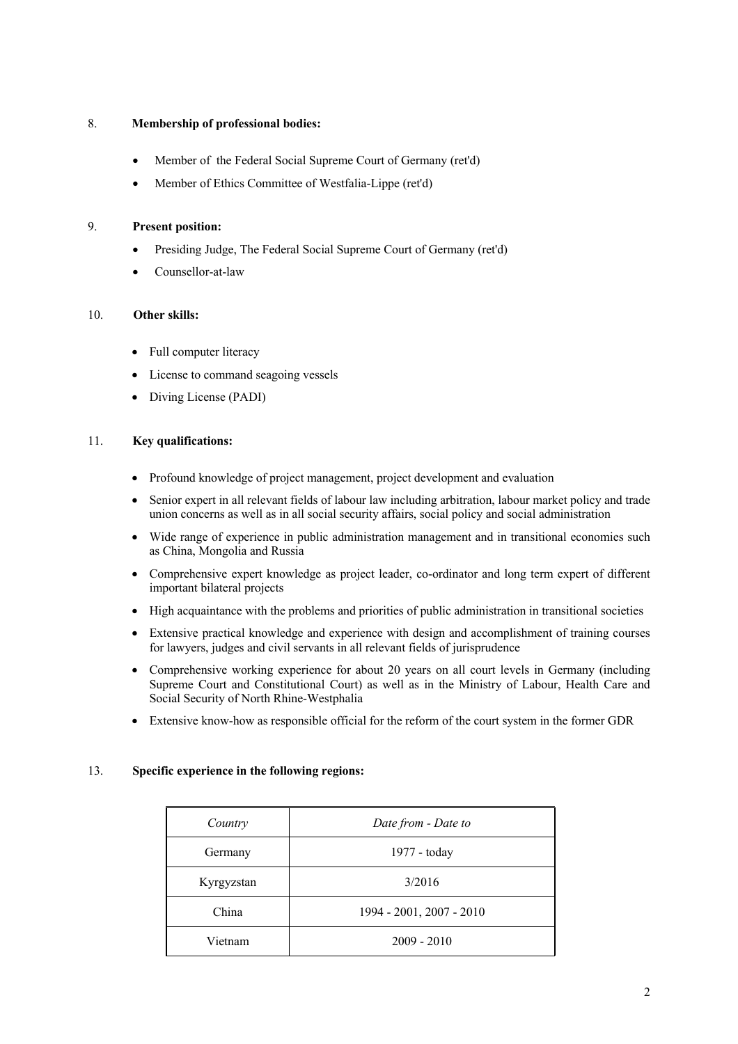### 8. **Membership of professional bodies:**

- Member of the Federal Social Supreme Court of Germany (ret'd)
- Member of Ethics Committee of Westfalia-Lippe (ret'd)

#### 9. **Present position:**

- Presiding Judge, The Federal Social Supreme Court of Germany (ret'd)
- Counsellor-at-law

## 10. **Other skills:**

- Full computer literacy
- License to command seagoing vessels
- Diving License (PADI)

#### 11. **Key qualifications:**

- Profound knowledge of project management, project development and evaluation
- Senior expert in all relevant fields of labour law including arbitration, labour market policy and trade union concerns as well as in all social security affairs, social policy and social administration
- Wide range of experience in public administration management and in transitional economies such as China, Mongolia and Russia
- Comprehensive expert knowledge as project leader, co-ordinator and long term expert of different important bilateral projects
- High acquaintance with the problems and priorities of public administration in transitional societies
- Extensive practical knowledge and experience with design and accomplishment of training courses for lawyers, judges and civil servants in all relevant fields of jurisprudence
- Comprehensive working experience for about 20 years on all court levels in Germany (including Supreme Court and Constitutional Court) as well as in the Ministry of Labour, Health Care and Social Security of North Rhine-Westphalia
- Extensive know-how as responsible official for the reform of the court system in the former GDR

## 13. **Specific experience in the following regions:**

| Country    | Date from - Date to      |  |  |
|------------|--------------------------|--|--|
| Germany    | 1977 - today             |  |  |
| Kyrgyzstan | 3/2016                   |  |  |
| China      | 1994 - 2001, 2007 - 2010 |  |  |
| Vietnam    | $2009 - 2010$            |  |  |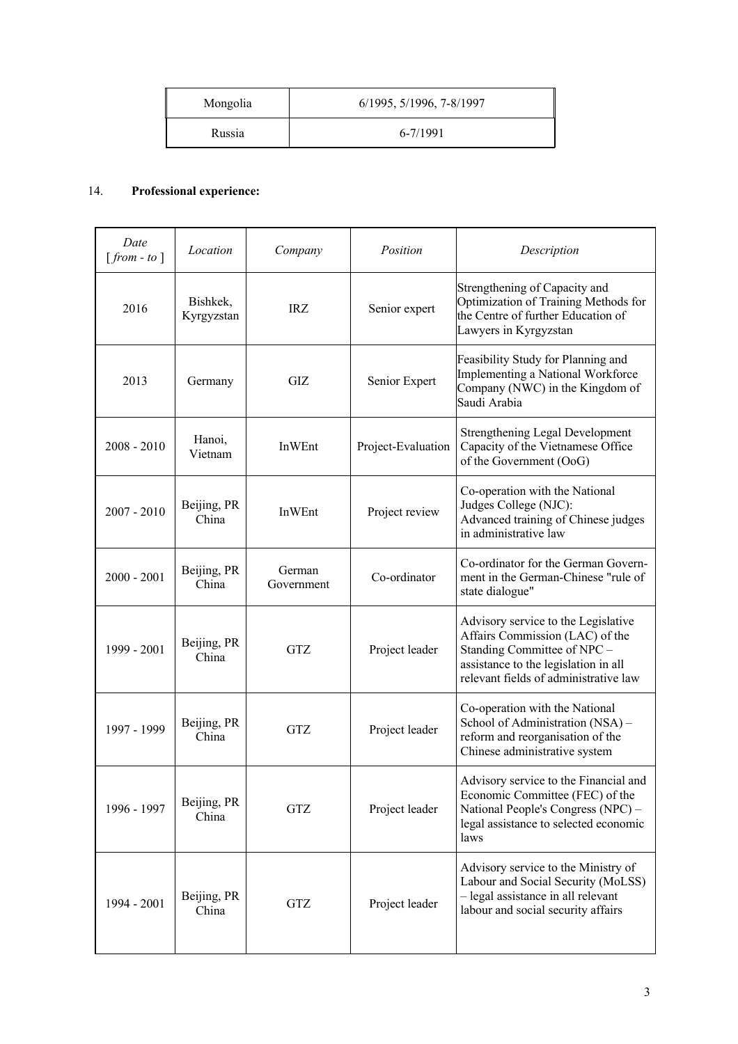| Mongolia | 6/1995, 5/1996, 7-8/1997 |
|----------|--------------------------|
| Russia   | 6-7/1991                 |

# 14. **Professional experience:**

| Date<br>$[from - to]$ | Location               | Company              | Position           | Description                                                                                                                                                                            |
|-----------------------|------------------------|----------------------|--------------------|----------------------------------------------------------------------------------------------------------------------------------------------------------------------------------------|
| 2016                  | Bishkek,<br>Kyrgyzstan | <b>IRZ</b>           | Senior expert      | Strengthening of Capacity and<br>Optimization of Training Methods for<br>the Centre of further Education of<br>Lawyers in Kyrgyzstan                                                   |
| 2013                  | Germany                | GIZ                  | Senior Expert      | Feasibility Study for Planning and<br>Implementing a National Workforce<br>Company (NWC) in the Kingdom of<br>Saudi Arabia                                                             |
| $2008 - 2010$         | Hanoi,<br>Vietnam      | InWEnt               | Project-Evaluation | <b>Strengthening Legal Development</b><br>Capacity of the Vietnamese Office<br>of the Government (OoG)                                                                                 |
| $2007 - 2010$         | Beijing, PR<br>China   | InWEnt               | Project review     | Co-operation with the National<br>Judges College (NJC):<br>Advanced training of Chinese judges<br>in administrative law                                                                |
| $2000 - 2001$         | Beijing, PR<br>China   | German<br>Government | Co-ordinator       | Co-ordinator for the German Govern-<br>ment in the German-Chinese "rule of<br>state dialogue"                                                                                          |
| 1999 - 2001           | Beijing, PR<br>China   | <b>GTZ</b>           | Project leader     | Advisory service to the Legislative<br>Affairs Commission (LAC) of the<br>Standing Committee of NPC -<br>assistance to the legislation in all<br>relevant fields of administrative law |
| 1997 - 1999           | Beijing, PR<br>China   | <b>GTZ</b>           | Project leader     | Co-operation with the National<br>School of Administration (NSA) -<br>reform and reorganisation of the<br>Chinese administrative system                                                |
| 1996 - 1997           | Beijing, PR<br>China   | <b>GTZ</b>           | Project leader     | Advisory service to the Financial and<br>Economic Committee (FEC) of the<br>National People's Congress (NPC) -<br>legal assistance to selected economic<br>laws                        |
| 1994 - 2001           | Beijing, PR<br>China   | <b>GTZ</b>           | Project leader     | Advisory service to the Ministry of<br>Labour and Social Security (MoLSS)<br>- legal assistance in all relevant<br>labour and social security affairs                                  |